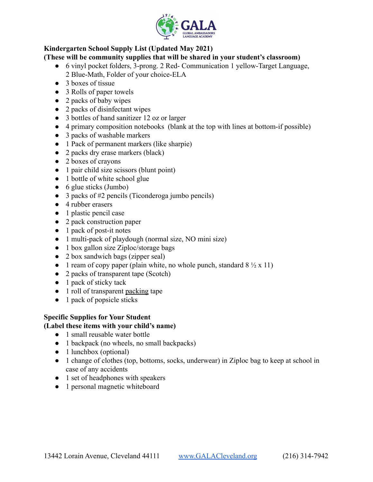

## **Kindergarten School Supply List (Updated May 2021)**

#### **(These will be community supplies that will be shared in your student's classroom)**

- 6 vinyl pocket folders, 3-prong. 2 Red- Communication 1 yellow-Target Language, 2 Blue-Math, Folder of your choice-ELA
- 3 boxes of tissue
- 3 Rolls of paper towels
- 2 packs of baby wipes
- 2 packs of disinfectant wipes
- 3 bottles of hand sanitizer 12 oz or larger
- 4 primary composition notebooks (blank at the top with lines at bottom-if possible)
- 3 packs of washable markers
- 1 Pack of permanent markers (like sharpie)
- 2 packs dry erase markers (black)
- 2 boxes of crayons
- 1 pair child size scissors (blunt point)
- 1 bottle of white school glue
- 6 glue sticks (Jumbo)
- 3 packs of #2 pencils (Ticonderoga jumbo pencils)
- 4 rubber erasers
- 1 plastic pencil case
- 2 pack construction paper
- 1 pack of post-it notes
- 1 multi-pack of playdough (normal size, NO mini size)
- 1 box gallon size Ziploc/storage bags
- 2 box sandwich bags (zipper seal)
- 1 ream of copy paper (plain white, no whole punch, standard  $8\frac{1}{2} \times 11$ )
- 2 packs of transparent tape (Scotch)
- 1 pack of sticky tack
- 1 roll of transparent packing tape
- 1 pack of popsicle sticks

# **Specific Supplies for Your Student**

#### **(Label these items with your child's name)**

- 1 small reusable water bottle
- 1 backpack (no wheels, no small backpacks)
- 1 lunchbox (optional)
- 1 change of clothes (top, bottoms, socks, underwear) in Ziploc bag to keep at school in case of any accidents
- 1 set of headphones with speakers
- 1 personal magnetic whiteboard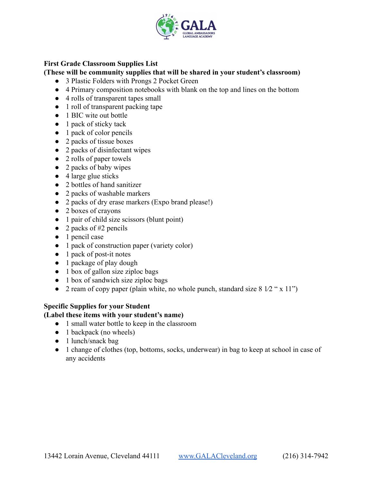

#### **First Grade Classroom Supplies List**

**(These will be community supplies that will be shared in your student's classroom)**

- 3 Plastic Folders with Prongs 2 Pocket Green
- 4 Primary composition notebooks with blank on the top and lines on the bottom
- 4 rolls of transparent tapes small
- 1 roll of transparent packing tape
- 1 BIC wite out bottle
- 1 pack of sticky tack
- 1 pack of color pencils
- 2 packs of tissue boxes
- 2 packs of disinfectant wipes
- 2 rolls of paper towels
- 2 packs of baby wipes
- $\bullet$  4 large glue sticks
- 2 bottles of hand sanitizer
- 2 packs of washable markers
- 2 packs of dry erase markers (Expo brand please!)
- 2 boxes of crayons
- 1 pair of child size scissors (blunt point)
- $\bullet$  2 packs of #2 pencils
- 1 pencil case
- 1 pack of construction paper (variety color)
- 1 pack of post-it notes
- 1 package of play dough
- 1 box of gallon size ziploc bags
- 1 box of sandwich size ziploc bags
- 2 ream of copy paper (plain white, no whole punch, standard size  $8\frac{1}{2}$  " x 11")

#### **Specific Supplies for your Student**

#### **(Label these items with your student's name)**

- 1 small water bottle to keep in the classroom
- $\bullet$  1 backpack (no wheels)
- 1 lunch/snack bag
- 1 change of clothes (top, bottoms, socks, underwear) in bag to keep at school in case of any accidents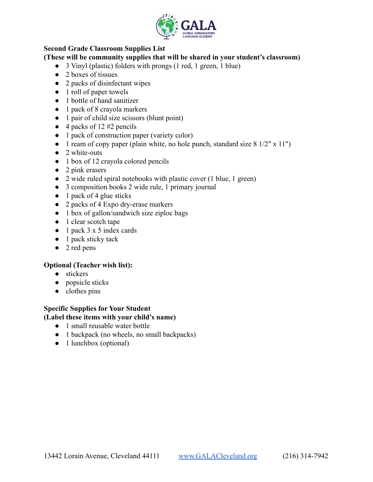

## **Second Grade Classroom Supplies List**

#### **(These will be community supplies that will be shared in your student's classroom)**

- 3 Vinyl (plastic) folders with prongs (1 red, 1 green, 1 blue)
- 2 boxes of tissues
- 2 packs of disinfectant wipes
- 1 roll of paper towels
- 1 bottle of hand sanitizer
- 1 pack of 8 crayola markers
- 1 pair of child size scissors (blunt point)
- $\bullet$  4 packs of 12 #2 pencils
- 1 pack of construction paper (variety color)
- $\bullet$  1 ream of copy paper (plain white, no hole punch, standard size 8 1/2" x 11")
- $\bullet$  2 white-outs
- 1 box of 12 crayola colored pencils
- $\bullet$  2 pink erasers
- 2 wide ruled spiral notebooks with plastic cover (1 blue, 1 green)
- 3 composition books 2 wide rule, 1 primary journal
- $\bullet$  1 pack of 4 glue sticks
- 2 packs of 4 Expo dry-erase markers
- 1 box of gallon/sandwich size ziploc bags
- 1 clear scotch tape
- 1 pack 3 x 5 index cards
- 1 pack sticky tack
- 2 red pens

#### **Optional (Teacher wish list):**

- stickers
- popsicle sticks
- clothes pins

#### **Specific Supplies for Your Student (Label these items with your child's name)**

- 1 small reusable water bottle
- 1 backpack (no wheels, no small backpacks)
- $\bullet$  1 lunchbox (optional)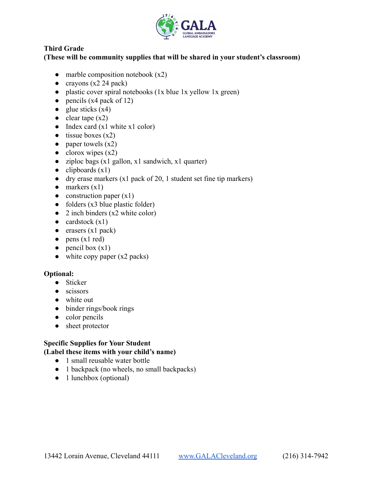

## **Third Grade**

## **(These will be community supplies that will be shared in your student's classroom)**

- $\bullet$  marble composition notebook  $(x2)$
- $\bullet$  crayons (x2 24 pack)
- plastic cover spiral notebooks (1x blue 1x yellow 1x green)
- $\bullet$  pencils (x4 pack of 12)
- glue sticks  $(x4)$
- $\bullet$  clear tape  $(x2)$
- Index card  $(x1 \text{ white } x1 \text{ color})$
- $\bullet$  tissue boxes  $(x2)$
- paper towels  $(x2)$
- $\bullet$  clorox wipes (x2)
- ziploc bags  $(x1$  gallon,  $x1$  sandwich,  $x1$  quarter)
- $\bullet$  clipboards  $(x1)$
- dry erase markers  $(x1$  pack of 20, 1 student set fine tip markers)
- $\bullet$  markers  $(x1)$
- $\bullet$  construction paper  $(x1)$
- $\bullet$  folders (x3 blue plastic folder)
- $\bullet$  2 inch binders (x2 white color)
- $\bullet$  cardstock  $(x1)$
- erasers (x1 pack)
- $\bullet$  pens (x1 red)
- $\bullet$  pencil box  $(x1)$
- $\bullet$  white copy paper (x2 packs)

#### **Optional:**

- Sticker
- scissors
- white out
- binder rings/book rings
- color pencils
- sheet protector

# **Specific Supplies for Your Student**

- **(Label these items with your child's name)**
	- 1 small reusable water bottle
	- 1 backpack (no wheels, no small backpacks)
	- 1 lunchbox (optional)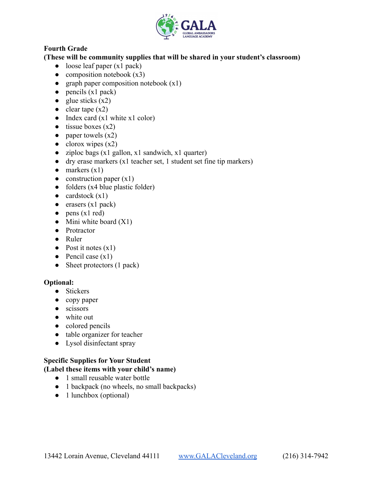

# **Fourth Grade**

## **(These will be community supplies that will be shared in your student's classroom)**

- $\bullet$  loose leaf paper (x1 pack)
- $\bullet$  composition notebook  $(x3)$
- graph paper composition notebook  $(x1)$
- $\bullet$  pencils (x1 pack)
- glue sticks  $(x2)$
- $\bullet$  clear tape  $(x2)$
- $\bullet$  Index card (x1 white x1 color)
- $\bullet$  tissue boxes  $(x2)$
- paper towels  $(x2)$
- $\bullet$  clorox wipes  $(x2)$
- ziploc bags (x1 gallon, x1 sandwich, x1 quarter)
- dry erase markers  $(x1$  teacher set, 1 student set fine tip markers)
- $\bullet$  markers  $(x1)$
- $\bullet$  construction paper (x1)
- $\bullet$  folders (x4 blue plastic folder)
- $\bullet$  cardstock  $(x1)$
- $\bullet$  erasers (x1 pack)
- $\bullet$  pens (x1 red)
- Mini white board  $(X1)$
- Protractor
- Ruler
- $\bullet$  Post it notes  $(x1)$
- $\bullet$  Pencil case  $(x1)$
- Sheet protectors (1 pack)

#### **Optional:**

- Stickers
- copy paper
- scissors
- white out
- colored pencils
- table organizer for teacher
- Lysol disinfectant spray

## **Specific Supplies for Your Student**

#### **(Label these items with your child's name)**

- 1 small reusable water bottle
- 1 backpack (no wheels, no small backpacks)
- $\bullet$  1 lunchbox (optional)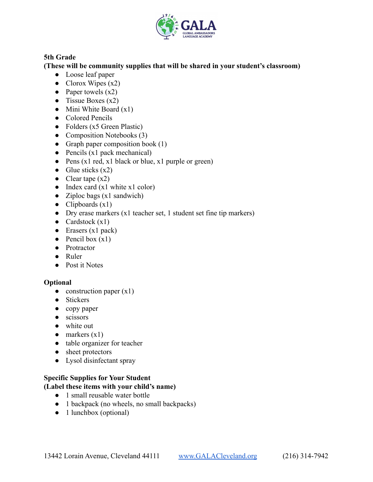

## **5th Grade**

## **(These will be community supplies that will be shared in your student's classroom)**

- Loose leaf paper
- Clorox Wipes  $(x2)$
- Paper towels  $(x2)$
- Tissue Boxes  $(x2)$
- Mini White Board  $(x1)$
- Colored Pencils
- $\bullet$  Folders (x5 Green Plastic)
- Composition Notebooks (3)
- Graph paper composition book  $(1)$
- $\bullet$  Pencils (x1 pack mechanical)
- Pens (x1 red, x1 black or blue, x1 purple or green)
- Glue sticks  $(x2)$
- Clear tape  $(x2)$
- Index card  $(x1 \text{ white } x1 \text{ color})$
- Ziploc bags  $(x1 \text{ sandwich})$
- Clipboards  $(x1)$
- Dry erase markers (x1 teacher set, 1 student set fine tip markers)
- Cardstock  $(x1)$
- Erasers (x1 pack)
- $\bullet$  Pencil box  $(x1)$
- Protractor
- Ruler
- Post it Notes

#### **Optional**

- $\bullet$  construction paper  $(x1)$
- Stickers
- copy paper
- scissors
- white out
- $\bullet$  markers  $(x1)$
- table organizer for teacher
- sheet protectors
- Lysol disinfectant spray

#### **Specific Supplies for Your Student (Label these items with your child's name)**

- 1 small reusable water bottle
- 1 backpack (no wheels, no small backpacks)
- 1 lunchbox (optional)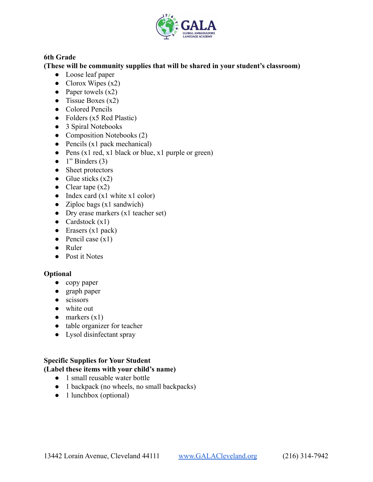

## **6th Grade**

## **(These will be community supplies that will be shared in your student's classroom)**

- Loose leaf paper
- Clorox Wipes  $(x2)$
- Paper towels  $(x2)$
- Tissue Boxes  $(x2)$
- Colored Pencils
- $\bullet$  Folders (x5 Red Plastic)
- 3 Spiral Notebooks
- Composition Notebooks (2)
- $\bullet$  Pencils (x1 pack mechanical)
- Pens (x1 red, x1 black or blue, x1 purple or green)
- $\bullet$  1" Binders (3)
- Sheet protectors
- Glue sticks  $(x2)$
- Clear tape  $(x2)$
- $\bullet$  Index card (x1 white x1 color)
- Ziploc bags  $(x1 \text{ sandwich})$
- Dry erase markers (x1 teacher set)
- Cardstock  $(x1)$
- Erasers (x1 pack)
- $\bullet$  Pencil case  $(x1)$
- Ruler
- Post it Notes

## **Optional**

- copy paper
- graph paper
- scissors
- white out
- $\bullet$  markers  $(x1)$
- table organizer for teacher
- Lysol disinfectant spray

## **Specific Supplies for Your Student**

## **(Label these items with your child's name)**

- 1 small reusable water bottle
- 1 backpack (no wheels, no small backpacks)
- $\bullet$  1 lunchbox (optional)